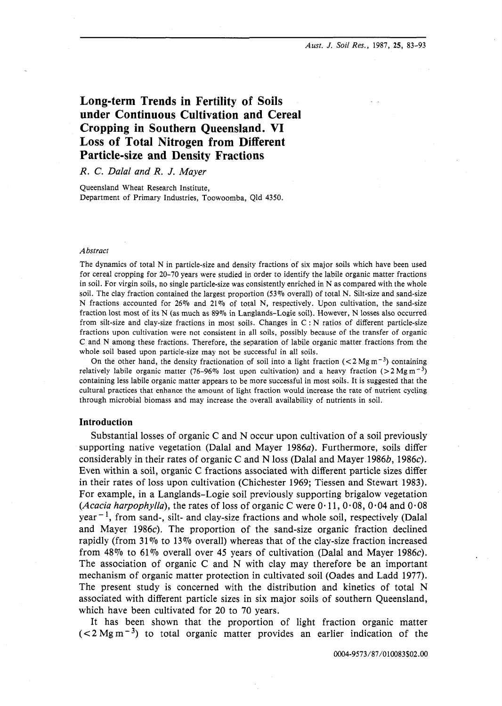*Aust. J.* Soil *Res.,* 1987, 25, 83-93

# **Long-term Trends in Fertility of Soils under Continuous Cultivation and Cereal Cropping in Southern Queensland. VI Loss of Total Nitrogen from Different Particle-size and Density Fractions**

## **R. C.** Dalal and R. J. Mayer

Queensland Wheat Research Institute, Department of Primary Industries, Toowoomba, Qld 4350.

### *Abstract*

The dynamics of total N in particle-size and density fractions of six major soils which have been used for cereal cropping for 20-70 years were studied in order to identify the labile organic matter fractions in soil. For virgin soils, no single particle-size was consistently enriched in N as compared with the whole soil. The clay fraction contained the largest proportion (53% overall) of total N. Silt-size and sand-size N fractions accounted for 26% and 21% of total N, respectively. Upon cultivation, the sand-size fraction lost most of its N (as much as 89% in Langlands-Logie soil). However, N losses also occurred from silt-size and clay-size fractions in most soils. Changes in C : N ratios of different particle-size fractions upon cultivation were not consistent in all soils, possibly because of the transfer of organic C and N among these fractions. Therefore, the separation of labile organic matter fractions from the whole soil based upon particle-size may not be successful in all soils.

On the other hand, the density fractionation of soil into a light fraction ( $<$ 2 Mg m<sup>-3</sup>) containing relatively labile organic matter (76-96% lost upon cultivation) and a heavy fraction (>2 Mg m<sup>-3</sup>) containing less labile organic matter appears to be more successful in most soils. It is suggested that the cultural practices that enhance the amount of light fraction would increase the rate of nutrient cycling through microbial biomass and may increase the overall availability of nutrients in soil.

## **Introduction**

Substantial losses of organic C and N occur upon cultivation of a soil previously supporting native vegetation (Dalal and Mayer 1986a). Furthermore, soils differ considerably in their rates of organic C and N loss (Dalal and Mayer 1986b, 1986c). Even within a soil, organic C fractions associated with different particle sizes differ in their rates of loss upon cultivation (Chichester 1969; Tiessen and Stewart 1983). For example, in a Langlands-Logie soil previously supporting brigalow vegetation (*Acacia harpophylla*), the rates of loss of organic C were  $0.11, 0.08, 0.04$  and  $0.08$  $year<sup>-1</sup>$ , from sand-, silt- and clay-size fractions and whole soil, respectively (Dalal and Mayer 1986 $c$ ). The proportion of the sand-size organic fraction declined rapidly (from  $31\%$  to  $13\%$  overall) whereas that of the clay-size fraction increased from 48% to 61% overall over 45 years of cultivation (Dalal and Mayer 1986c). The association of organic C and N with clay may therefore be an important mechanism of organic matter protection in cultivated soil (Oades and Ladd 1977). The present study is concerned with the distribution and kinetics of total N associated with different particle sizes in six major soils of southern Queensland, which have been cultivated for 20 to 70 years.

It has been shown that the proportion of light fraction organic matter  $(< 2 \text{ Mg m}^{-3})$  to total organic matter provides an earlier indication of the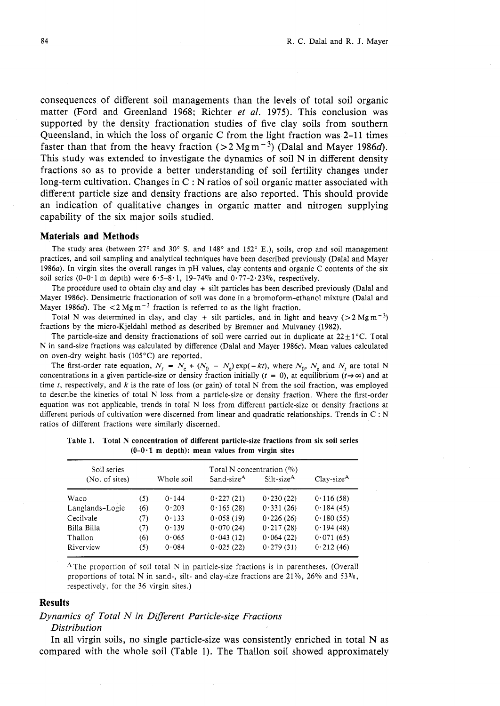consequences of different soil managements than the levels of total soil organic matter (Ford and Greenland 1968; Richter *et al.* 1975). This conclusion was supported by the density fractionation studies of five clay soils from southern Queensland, in which the loss of organic  $C$  from the light fraction was 2-11 times faster than that from the heavy fraction ( $> 2$  Mgm<sup>-3</sup>) (Dalal and Mayer 1986d). This study was extended to investigate the dynamics of soil N in different density fractions so as to provide a better understanding of soil fertility changes under long-term cultivation. Changes in C : N ratios of soil organic matter associated with different particle size and density fractions are also reported. This should provide an indication of qualitative changes in organic matter and nitrogen supplying capability of the six major soils studied.

#### **Materials and Methods**

The study area (between 27° and 30° S. and 148° and 152° E.), soils, crop and soil management practices, and soil sampling and analytical techniques have been described previously (Dalal and Mayer 1986a). In virgin sites the overall ranges in pH values, clay contents and organic C contents of the six soil series (0-0.1 m depth) were  $6.5-8.1$ , 19-74% and  $0.77-2.23\%$ , respectively.

The procedure used to obtain clay and clay + silt particles has been described previously (Dalal and Mayer 1986c). Densimetric fractionation of soil was done in a bromoform-ethanol mixture (Dalal and Mayer 1986d). The  $\lt 2$  Mg m<sup>-3</sup> fraction is referred to as the light fraction.

Total N was determined in clay, and clay + silt particles, and in light and heavy ( $> 2$  Mg m<sup>-3</sup>) fractions by the micro-Kjeldahl method as described by Bremner and Mulvaney (1982).

The particle-size and density fractionations of soil were carried out in duplicate at  $22+1$  °C. Total N in sand-size fractions was calculated by difference (Dalal and Mayer 1986c). Mean values calculated on oven-dry weight basis (105°C) are reported.

The first-order rate equation,  $N_t = N_e + (N_0 - N_e) \exp(-kt)$ , where  $N_0$ ,  $N_e$  and  $N_t$  are total N concentrations in a given particle-size or density fraction initially ( $t = 0$ ), at equilibrium ( $t \rightarrow \infty$ ) and at time t, respectively, and  $k$  is the rate of loss (or gain) of total N from the soil fraction, was employed to describe the kinetics of total N loss from a particle-size or density fraction. Where the first-order equation was not applicable, trends in total N loss from different particle-size or density fractions at different periods of cultivation were discerned from linear and quadratic relationships. Trends in C : <sup>N</sup> ratios of different fractions were similarly discerned.

| Soil series     |     | Total N concentration $(\%)$ |                        |                        |              |  |
|-----------------|-----|------------------------------|------------------------|------------------------|--------------|--|
| (No. of sites)  |     | Whole soil                   | Sand-size <sup>A</sup> | Silt-size <sup>A</sup> | $Clay-sizeA$ |  |
| Waco            | (5) | 0.144                        | 0.227(21)              | 0.230(22)              | 0.116(58)    |  |
| Langlands-Logie | (6) | 0.203                        | 0.165(28)              | 0.331(26)              | 0.184(45)    |  |
| Cecilvale       | (7) | 0.133                        | 0.058(19)              | 0.226(26)              | 0.180(55)    |  |
| Billa Billa     | (7) | 0.139                        | 0.070(24)              | 0.217(28)              | 0.194(48)    |  |
| Thallon         | (6) | 0.065                        | 0.043(12)              | 0.064(22)              | 0.071(65)    |  |
| Riverview       | (5) | 0.084                        | 0.025(22)              | 0.279(31)              | 0.212(46)    |  |

Table **1.** Total N concentration of different particle-size fractions from six soil series  $(0-0.1 \text{ m depth})$ : mean values from virgin sites

AThe proportion of soil total N in particle-size fractions is in parentheses. (Overall proportions of total N in sand-, silt- and clay-size fractions are  $21\%$ ,  $26\%$  and  $53\%$ , respectively, for the 36 virgin sites.)

#### **Results**

## *Dynamics of Total N in Different Particle-size Fractions*

### *Distribution*

In all virgin soils, no single particle-size was consistently enriched in total N as compared with the whole soil (Table 1). The Thallon soil showed approximately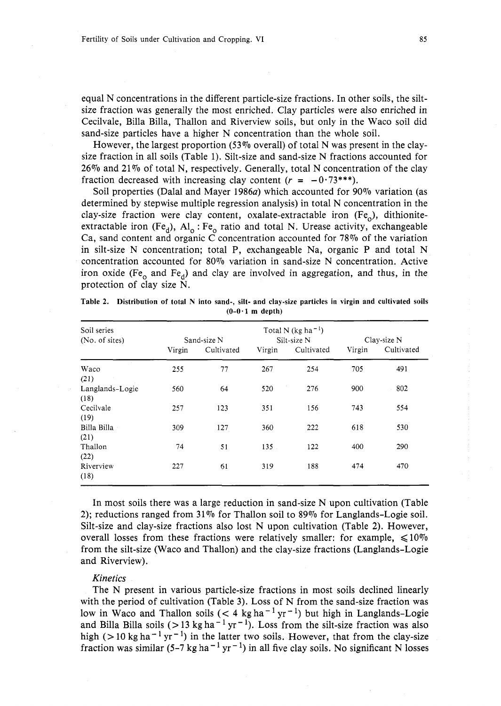equal N concentrations in the different particle-size fractions. In other soils, the siltsize fraction was generally the most enriched. Clay particles were also enriched in Cecilvale, Billa Billa, Thallon and Riverview soils, but only in the Waco soil did sand-size particles have a higher N concentration than the whole soil.

However, the largest proportion (53% overall) of total N was present in the claysize fraction in all soils (Table 1). Silt-size and sand-size N fractions accounted for  $26\%$  and  $21\%$  of total N, respectively. Generally, total N concentration of the clay fraction decreased with increasing clay content  $(r = -0.73***)$ .

Soil properties (Dalal and Mayer 1986a) which accounted for 90% variation (as determined by stepwise multiple regression analysis) in total N concentration in the clay-size fraction were clay content, oxalate-extractable iron  $(Fe_0)$ , dithioniteextractable iron (Fe<sub>d</sub>),  $AI_0$ : Fe<sub>o</sub> ratio and total N. Urease activity, exchangeable Ca, sand content and organic C concentration accounted for 78% of the variation in silt-size N concentration; total P, exchangeable Na, organic P and total N concentration accounted for 80% variation in sand-size N concentration. Active iron oxide (Fe<sub>o</sub> and Fe<sub>d</sub>) and clay are involved in aggregation, and thus, in the protection of clay size N.

| Soil series<br>(No. of sites) |        | Sand-size N |        | Total N (kg ha <sup>-1</sup> )<br>Silt-size N |        | Clay-size N |  |
|-------------------------------|--------|-------------|--------|-----------------------------------------------|--------|-------------|--|
|                               | Virgin | Cultivated  | Virgin | Cultivated                                    | Virgin | Cultivated  |  |
| Waco<br>(21)                  | 255    | 77          | 267    | 254                                           | 705    | 491         |  |
| Langlands-Logie<br>(18)       | 560    | 64          | 520    | 276                                           | 900    | 802         |  |
| Cecilvale<br>(19)             | 257    | 123         | 351    | 156                                           | 743    | 554         |  |
| Billa Billa<br>(21)           | 309    | 127         | 360    | 222                                           | 618    | 530         |  |
| Thallon<br>(22)               | 74     | 51          | 135    | 122                                           | 400    | 290         |  |
| Riverview<br>(18)             | 227    | 61          | 319    | 188                                           | 474    | 470         |  |

Table **2.** Distribution of total N into sand-, silt- and clay-size particles in virgin and cultivated soils **(0-0.1 rn** depth)

In most soils there was a large reduction in sand-size N upon cultivation (Table 2); reductions ranged from  $31\%$  for Thallon soil to 89% for Langlands-Logie soil. Silt-size and clay-size fractions also lost N upon cultivation (Table 2). However, overall losses from these fractions were relatively smaller: for example,  $\leq 10\%$ from the silt-size (Waco and Thallon) and the clay-size fractions (Langlands-Logie and Riverview).

#### *Kinetics*

The N present in various particle-size fractions in most soils declined linearly with the period of cultivation (Table **3).** Loss of N from the sand-size fraction was low in Waco and Thallon soils (< 4 kg ha<sup>-1</sup> yr<sup>-1</sup>) but high in Langlands-Logie and Billa Billa soils (>13 kg ha<sup>-1</sup> yr<sup>-1</sup>). Loss from the silt-size fraction was also high ( $> 10 \text{ kg ha}^{-1} \text{ yr}^{-1}$ ) in the latter two soils. However, that from the clay-size fraction was similar (5-7 kg ha<sup>-1</sup> yr<sup>-1</sup>) in all five clay soils. No significant N losses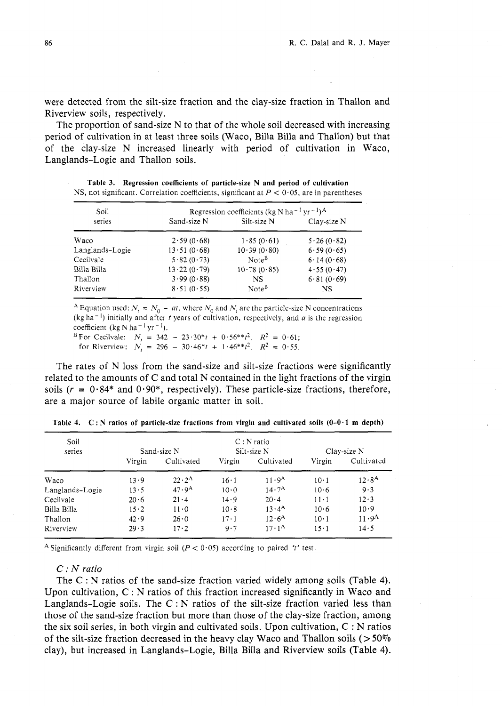were detected from the silt-size fraction and the clay-size fraction in Thallon and Riverview soils, respectively.

The proportion of sand-size N to that of the whole soil decreased with increasing period of cultivation in at least three soils (Waco, Billa Billa and Thallon) but that of the clay-size N increased linearly with period of cultivation in Waco, Langlands-Logie and Thallon soils.

| Soil            | Regression coefficients (kg N ha <sup>-1</sup> yr <sup>-1</sup> ) <sup>A</sup> |                   |             |  |  |  |
|-----------------|--------------------------------------------------------------------------------|-------------------|-------------|--|--|--|
| series          | Sand-size N                                                                    | Silt-size N       | Clay-size N |  |  |  |
| Waco            | 2.59(0.68)                                                                     | 1.85(0.61)        | 5.26(0.82)  |  |  |  |
| Langlands-Logie | $13 \cdot 51 (0.68)$                                                           | 10.39(0.80)       | 6.59(0.65)  |  |  |  |
| Cecilvale       | 5.82(0.73)                                                                     | Note <sup>B</sup> | 6.14(0.68)  |  |  |  |
| Billa Billa     | 13.22(0.79)                                                                    | 10.78(0.85)       | 4.55(0.47)  |  |  |  |
| Thallon         | 3.99(0.88)                                                                     | NS                | 6.81(0.69)  |  |  |  |
| Riverview       | 8.51(0.55)                                                                     | Note <sup>B</sup> | NS          |  |  |  |

**Table 3. Regression coefficients of particle-size N and period of cultivation**  NS, not significant. Correlation coefficients, significant at  $P < 0.05$ , are in parentheses

<sup>A</sup> Equation used:  $N_t = N_0 - at$ , where  $N_0$  and  $N_t$  are the particle-size N concentrations  $(kg ha<sup>-1</sup>)$  initially and after *t* years of cultivation, respectively, and *a* is the regression coefficient (kg N ha<sup>-1</sup> yr<sup>-1</sup>). B\*or Cecilvale:  $N_t = 342 - 23.30*t + 0.56**t^2$ ,  $R^2 = 0.61$ ;

for Riverview:  $N_t = 296 - 30.46*t + 1.46**t^2$ ,  $R^2 = 0.55$ .

The rates of N loss from the sand-size and silt-size fractions were significantly related to the amounts of C and total N contained in the light fractions of the virgin soils ( $r = 0.84*$  and  $0.90*$ , respectively). These particle-size fractions, therefore, are a major source of labile organic matter in soil.

| Soil<br>series  | Sand-size N  |                   | $C: N$ ratio<br>Silt-size N |                      | Clay-size N  |                   |
|-----------------|--------------|-------------------|-----------------------------|----------------------|--------------|-------------------|
|                 | Virgin       | Cultivated        | Virgin                      | Cultivated           | Virgin       | Cultivated        |
| Waco            | 13.9         | $22.2^{\rm A}$    | $16 \cdot 1$                | 11.9 <sup>A</sup>    | $10 \cdot 1$ | 12.8 <sup>A</sup> |
| Langlands-Logie | 13.5         | 47.9 <sup>A</sup> | 10.0                        | 14.7 <sup>A</sup>    | 10.6         | 9.3               |
| Cecilvale       | 20.6         | 21.4              | 14.9                        | 20.4                 | $11 \cdot 1$ | $12 \cdot 3$      |
| Billa Billa     | $15 \cdot 2$ | $11 \cdot 0$      | 10.8                        | $13 \cdot 4^{\rm A}$ | 10.6         | 10.9              |
| Thallon         | 42.9         | 26.0              | $17 - 1$                    | 12.6 <sup>A</sup>    | $10 \cdot 1$ | 11.9 <sup>A</sup> |
| Riverview       | $29 - 3$     | $17 \cdot 2$      | 9.7                         | $17 \cdot 1^{\rm A}$ | $15 \cdot 1$ | 14.5              |

**Table 4. C: N ratios of particle-size fractions from virgin and cultivated soils (0-0.1 m depth)** 

<sup>A</sup> Significantly different from virgin soil ( $P < 0.05$ ) according to paired 't' test.

## *<sup>C</sup>*: N ratio

The C : N ratios of the sand-size fraction varied widely among soils (Table 4). Upon cultivation,  $C : N$  ratios of this fraction increased significantly in Waco and Langlands-Logie soils. The  $C : N$  ratios of the silt-size fraction varied less than those of the sand-size fraction but more than those of the clay-size fraction, among the six soil series, in both virgin and cultivated soils. Upon cultivation, C : N ratios of the silt-size fraction decreased in the heavy clay Waco and Thallon soils ( $>50\%$ ) clay), but increased in Langlands-Logie, Billa Billa and Riverview soils (Table 4).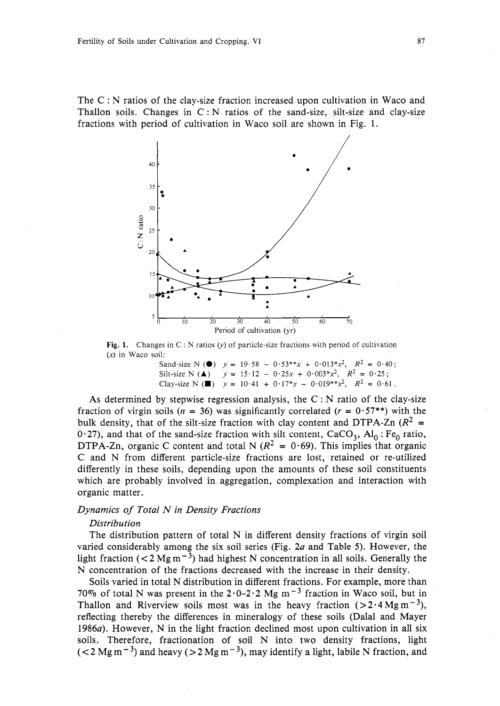The C : N ratios of the clay-size fraction increased upon cultivation in Waco and Thallon soils. Changes in  $C : N$  ratios of the sand-size, silt-size and clay-size fractions with period of cultivation in Waco soil are shown in Fig. 1.



**Fig. 1.** Changes in C : N ratios (y) of particle-size fractions with period of cultivation  $(x)$  in Waco soil:

> Sand-size N **(0)**  $y = 19.58 - 0.53**x + 0.013*x^2$ ,  $R^2 = 0.40$ ; Silt-size N (A)  $y = 15.12 - 0.25x + 0.003*x^2$ ,  $R^2 = 0.25$ ; Clay-size N **(W)**  $y = 10.41 + 0.17*x - 0.019**x^2$ ,  $R^2 = 0.61$ .

As determined by stepwise regression analysis, the  $C : N$  ratio of the clay-size fraction of virgin soils ( $n = 36$ ) was significantly correlated ( $r = 0.57$ \*\*) with the bulk density, that of the silt-size fraction with clay content and DTPA-Zn  $(R^2 =$ 0.27), and that of the sand-size fraction with silt content,  $CaCO<sub>3</sub>$ ,  $Al<sub>0</sub>$ : Fe<sub>0</sub> ratio, DTPA-Zn, organic C content and total N ( $R^2 = 0.69$ ). This implies that organic C and N from different particle-size fractions are lost, retained or re-utilized differently in these soils, depending upon the amounts of these soil constituents which are probably involved in aggregation, complexation and interaction with organic matter.

## Dynamics of Total N in Density Fractions

#### Distribution

The distribution pattern of total N in different density fractions of virgin soil varied considerably among the six soil series (Fig.  $2a$  and Table 5). However, the light fraction ( $\langle 2 \text{ Mg m}^{-3} \rangle$  had highest N concentration in all soils. Generally the N concentration of the fractions decreased with the increase in their density.

Soils varied in total N distribution in different fractions. For example, more than 70% of total N was present in the  $2.0-2.2$  Mg m<sup>-3</sup> fraction in Waco soil, but in Thallon and Riverview soils most was in the heavy fraction  $(>2.4 \text{ Mg m}^{-3})$ , reflecting thereby the differences in mineralogy of these soils (Dalal and Mayer 1986a). However, N in the light fraction declined most upon cultivation in all six soils. Therefore, fractionation of soil N into two density fractions, light  $(< 2$  Mg m<sup>-3</sup>) and heavy ( $> 2$  Mg m<sup>-3</sup>), may identify a light, labile N fraction, and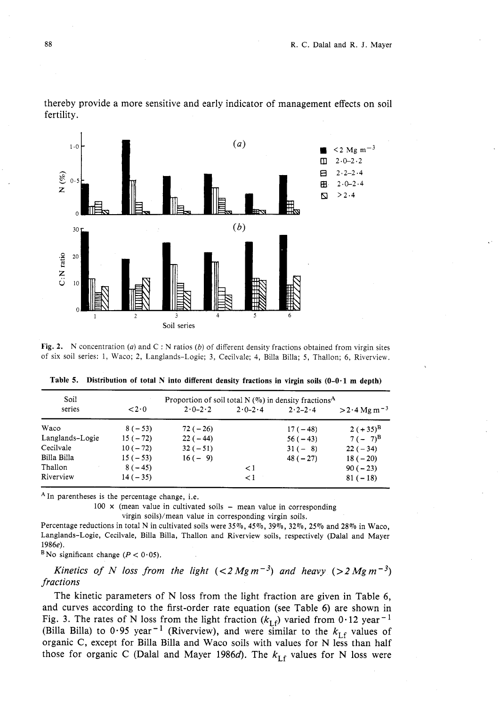

thereby provide a more sensitive and early indicator of management effects on soil fertility.

Fig. 2. N concentration (a) and C : N ratios (b) of different density fractions obtained from virgin sites of six soil series: 1, Waco; 2, Langlands-Logie; 3, Cecilvale; 4, Billa Billa; 5, Thallon; *6,* Riverview.

| Soil            |           | Proportion of soil total N $(\%)$ in density fractions <sup>A</sup> |             |                         |                           |
|-----------------|-----------|---------------------------------------------------------------------|-------------|-------------------------|---------------------------|
| series          | $\lt 2.0$ | $2.0 - 2.2$                                                         | $2.0 - 2.4$ | $2 \cdot 2 - 2 \cdot 4$ | $>2.4$ Mg m <sup>-3</sup> |
| Waco            | $8(-53)$  | $72(-26)$                                                           |             | $17(-48)$               | $2 (+35)^{B}$             |
| Langlands-Logie | $15(-72)$ | $22(-44)$                                                           |             | $56(-43)$               | $7(-7)^{B}$               |
| Cecilvale       | $10(-72)$ | $32(-51)$                                                           |             | $31(-8)$                | $22(-34)$                 |
| Billa Billa     | $15(-53)$ | $16(-9)$                                                            |             | $48(-27)$               | $18(-20)$                 |
| Thallon         | $8(-45)$  |                                                                     | $\lt 1$     |                         | $90(-23)$                 |
| Riverview       | $14(-35)$ |                                                                     | $\leq$ 1    |                         | $81(-18)$                 |

**Table 5. Distribution of total N into different density fractions in virgin soils (0-0-1 m depth)** 

<sup>A</sup> In parentheses is the percentage change, i.e.

100  $\times$  (mean value in cultivated soils  $-$  mean value in corresponding

virgin soils)/mean value in corresponding virgin soils.

Percentage reductions in total N in cultivated soils were  $35\%$ ,  $45\%$ ,  $39\%$ ,  $32\%$ ,  $25\%$  and  $28\%$  in Waco, Langlands-Logie, Cecilvale, Billa Billa, Thallon and Riverview soils, respectively (Dalal and Mayer 1986e).

<sup>B</sup> No significant change ( $P < 0.05$ ).

*Kinetics of N loss from the light*  $(<2 Mg m^{-3})$  and heavy  $(>2 Mg m^{-3})$ *fractions* 

The kinetic parameters of N loss from the light fraction are given in Table 6, and curves according to the first-order rate equation (see Table 6) are shown in Fig. 3. The rates of N loss from the light fraction  $(k_{\text{I}f})$  varied from 0.12 year<sup>-1</sup> (Billa Billa) to 0.95 year<sup>-1</sup> (Riverview), and were similar to the  $k_{\text{L}f}$  values of organic C, except for Billa Billa and Waco soils with values for N less than half those for organic C (Dalal and Mayer 1986d). The  $k_{\text{lf}}$  values for N loss were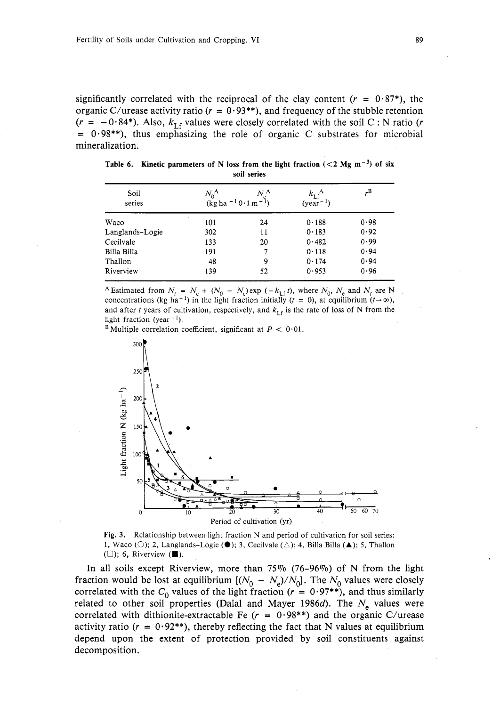significantly correlated with the reciprocal of the clay content  $(r = 0.87^*)$ , the organic C/urease activity ratio ( $r = 0.93**$ ), and frequency of the stubble retention  $(r = -0.84*)$ . Also,  $k_{\text{Lf}}$  values were closely correlated with the soil C : N ratio (*r*  $= 0.98$ \*\*), thus emphasizing the role of organic C substrates for microbial mineralization.

|      |      |             | Table 6. Kinetic parameters of N loss from the light fraction $(< 2$ Mg m <sup>-3</sup> ) of six |    |
|------|------|-------------|--------------------------------------------------------------------------------------------------|----|
|      |      | soil series |                                                                                                  |    |
| Soil | A7 A | N A         | ι Α                                                                                              | "B |

| Soil<br>series  | $N_{0}^{\,\mathrm{A}}$<br>$(kg ha-1 0.1 m-1)$ | $N^{\rm A}$ | $k_{\mathrm{Lf}}^{\mathrm{A}}$<br>$(year^{-1})$ | "B   |
|-----------------|-----------------------------------------------|-------------|-------------------------------------------------|------|
| Waco            | 101                                           | 24          | 0.188                                           | 0.98 |
| Langlands-Logie | 302                                           | 11          | 0.183                                           | 0.92 |
| Cecilvale       | 133                                           | 20          | 0.482                                           | 0.99 |
| Billa Billa     | 191                                           | 7           | 0.118                                           | 0.94 |
| Thallon         | 48                                            | 9           | 0.174                                           | 0.94 |
| Riverview       | 139                                           | 52          | 0.953                                           | 0.96 |

<sup>A</sup> Estimated from  $N_t = N_e + (N_0 - N_e) \exp(-k_{\text{Lf}} t)$ , where  $N_0$ ,  $N_e$  and  $N_t$  are N concentrations (kg ha<sup>-1</sup>) in the light fraction initially (t = 0), at equilibrium (t- $\infty$ ), and after t years of cultivation, respectively, and  $k_{\text{Lf}}$  is the rate of loss of N from the light fraction (year<sup>-1</sup>).

 $^{\text{B}}$  Multiple correlation coefficient, significant at  $P < 0.01$ .



**Fig. 3.** Relationship between light fraction N and period of cultivation for soil series: 1, Waco ( $\bigcirc$ ); 2, Langlands-Logie ( $\bigcirc$ ); 3, Cecilvale ( $\bigtriangleup$ ); 4, Billa Billa ( $\blacktriangle$ ); 5, Thallon (0); *6,* Riverview **(E).** ,

In all soils except Riverview, more than 75% (76-96%) of N from the light In all solis except Kiverview, more than  $/3\%$  ( $/6-96\%$ ) of N from the light fraction would be lost at equilibrium  $[(N_0 - N_e)/N_0]$ . The  $N_0$  values were closely correlated with the  $C_0$  values of the light fraction ( $r = 0.97$ \*\*), and thus similarly related to other soil properties (Dalal and Mayer 1986d). The  $N<sub>e</sub>$  values were correlated with dithionite-extractable Fe ( $r = 0.98$ \*\*) and the organic C/urease activity ratio ( $r = 0.92$ \*\*), thereby reflecting the fact that N values at equilibrium depend upon the extent of protection provided by soil constituents against decomposition.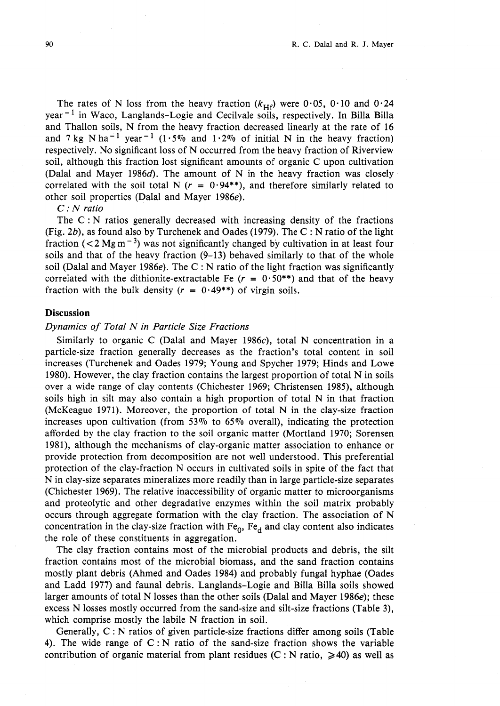The rates of N loss from the heavy fraction  $(k_{\text{Hf}})$  were 0.05, 0.10 and 0.24 year<sup>-1</sup> in Waco, Langlands-Logie and Cecilvale soils, respectively. In Billa Billa and Thallon soils, N from the heavy fraction decreased linearly at the rate of 16 and 7 kg N ha<sup>-1</sup> year<sup>-1</sup> (1.5% and 1.2% of initial N in the heavy fraction) respectively. No significant loss of N occurred from the heavy fraction of Riverview soil, although this fraction lost significant amounts of organic C upon cultivation (Dalal and Mayer 1986 $d$ ). The amount of N in the heavy fraction was closely correlated with the soil total N ( $r = 0.94**$ ), and therefore similarly related to other soil properties (Dalal and Mayer 1986e).

## *C:* N ratio

The  $C : N$  ratios generally decreased with increasing density of the fractions (Fig. 2b), as found also by Turchenek and Oades (1979). The C : N ratio of the light fraction  $(< 2 \text{ Mg m}^{-3})$  was not significantly changed by cultivation in at least four soils and that of the heavy fraction (9-13) behaved similarly to that of the whole soil (Dalal and Mayer 1986e). The C : N ratio of the light fraction was significantly correlated with the dithionite-extractable Fe  $(r = 0.50^{**})$  and that of the heavy fraction with the bulk density  $(r = 0.49^{**})$  of virgin soils.

## **Discussion**

## Dynamics of Total N in Particle Size Fractions

Similarly to organic C (Dalal and Mayer 1986c), total N concentration in a particle-size fraction generally decreases as the fraction's total content in soil increases (Turchenek and Oades 1979; Young and Spycher 1979; Hinds and Lowe 1980). However, the clay fraction contains the largest proportion of total N in soils over a wide range of clay contents (Chichester 1969; Christensen 1985), although soils high in silt may also contain a high proportion of total N in that fraction (McKeague 1971). Moreover, the proportion of total N in the clay-size fraction increases upon cultivation (from  $53\%$  to  $65\%$  overall), indicating the protection afforded by the clay fraction to the soil organic matter (Mortland 1970; Sorensen 1981), although the mechanisms of clay-organic matter association to enhance or provide protection from decomposition are not well understood. This preferential protection of the clay-fraction N occurs in cultivated soils in spite of the fact that N in clay-size separates mineralizes more readily than in large particle-size separates (Chichester 1969). The relative inaccessibility of organic matter to microorganisms and proteolytic and other degradative enzymes within the soil matrix probably occurs through aggregate formation with the clay fraction. The association of N concentration in the clay-size fraction with  $Fe_0$ ,  $Fe_d$  and clay content also indicates the role of these constituents in aggregation.

The clay fraction contains most of the microbial products and debris, the silt fraction contains most of the microbial biomass, and the sand fraction contains mostly plant debris (Ahmed and Oades 1984) and probably fungal hyphae (Oades and Ladd 1977) and faunal debris. Langlands-Logie and Billa Billa soils showed larger amounts of total N losses than the other soils (Dalal and Mayer 1986e); these excess N losses mostly occurred from the sand-size and silt-size fractions (Table 3), which comprise mostly the labile N fraction in soil.

Generally, C : N ratios of given particle-size fractions differ among soils (Table 4). The wide range of  $C : N$  ratio of the sand-size fraction shows the variable contribution of organic material from plant residues (C : N ratio,  $\geq 40$ ) as well as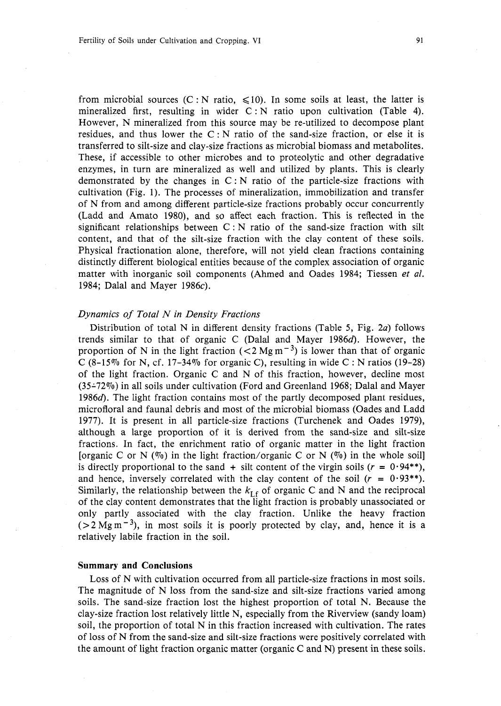from microbial sources (C : N ratio,  $\leq 10$ ). In some soils at least, the latter is mineralized first, resulting in wider  $C : N$  ratio upon cultivation (Table 4). However, N mineralized from this source may be re-utilized to decompose plant residues, and thus lower the  $C : N$  ratio of the sand-size fraction, or else it is transferred to silt-size and clay-size fractions as microbial biomass and metabolites. These, if accessible to other microbes and to proteolytic and other degradative enzymes, in turn are mineralized as well and utilized by plants. This is clearly demonstrated by the changes in C : N ratio of the particle-size fractions with cultivation (Fig. 1). The processes of mineralization, immobilization and transfer of N from and among different particle-size fractions probably occur concurrently (Ladd and Amato 1980), and so affect each fraction. This is reflected in the significant relationships between  $C : N$  ratio of the sand-size fraction with silt content, and that of the silt-size fraction with the clay content of these soils. Physical fractionation alone, therefore, will not yield clean fractions containing distinctly different biological entities because of the complex association of organic matter with inorganic soil components (Ahmed and Oades 1984; Tiessen et al. 1984; Dalal and Mayer 1986c).

## Dynamics of Total N in Density Fractions

Distribution of total N in different density fractions (Table 5, Fig. 2a) follows trends similar to that of organic C (Dalal and Mayer 19866). However, the proportion of N in the light fraction  $(< 2 \text{ Mg m}^{-3})$  is lower than that of organic C  $(8-15\%$  for N, cf. 17-34% for organic C), resulting in wide C : N ratios (19-28) of the light fraction. Organic C and N of this fraction, however, decline most  $(35-72\%)$  in all soils under cultivation (Ford and Greenland 1968; Dalal and Mayer 1986d). The light fraction contains most of the partly decomposed plant residues, microfloral and faunal debris and most of the microbial biomass (Oades and Ladd 1977). It is present in all particle-size fractions (Turchenek and Oades 1979), although a large proportion of it is derived from the sand-size and silt-size fractions. In fact, the enrichment ratio of organic matter in the light fraction [organic C or N  $(\%)$  in the light fraction/organic C or N  $(\%)$  in the whole soil] is directly proportional to the sand  $+$  silt content of the virgin soils ( $r = 0.94$ \*\*), and hence, inversely correlated with the clay content of the soil  $(r = 0.93**)$ . Similarly, the relationship between the  $k_{\text{Lf}}$  of organic C and N and the reciprocal of the clay content demonstrates that the light fraction is probably unassociated or only partly associated with the clay fraction. Unlike the heavy fraction  $(22 \text{ Mg m}^{-3})$ , in most soils it is poorly protected by clay, and, hence it is a relatively labile fraction in the soil.

### **Summary and Conclusions**

Loss of N with cultivation occurred from all particle-size fractions in most soils. The magnitude of N loss from the sand-size and silt-size fractions varied among soils. The sand-size fraction lost the highest proportion of total N. Because the clay-size fraction lost relatively little N, especially from the Riverview (sandy loam) soil, the proportion of total N in this fraction increased with cultivation. The rates of loss of N from the sand-size and silt-size fractions were positively correlated with the amount of light fraction organic matter (organic C and N) present in these soils.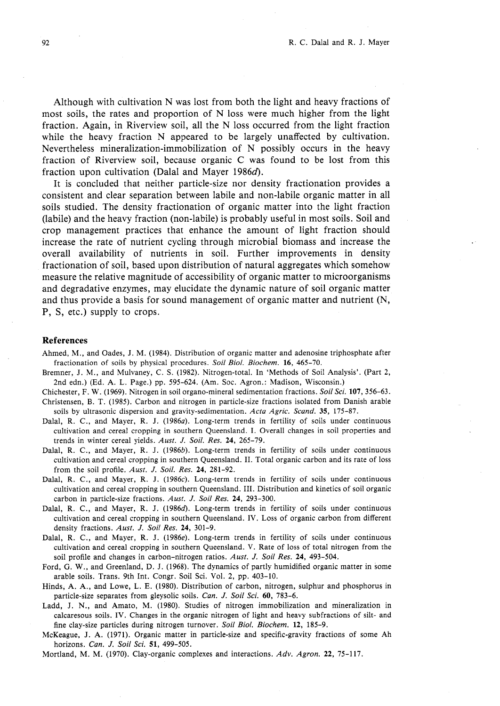Although with cultivation N was lost from both the light and heavy fractions of most soils, the rates and proportion of N loss were much higher from the light fraction. Again, in Riverview soil, all the N loss occurred from the light fraction while the heavy fraction N appeared to be largely unaffected by cultivation. Nevertheless mineralization-immobilization of N possibly occurs in the heavy fraction of Riverview soil, because organic C was found to be lost from this fraction upon cultivation (Dalal and Mayer 1986 $d$ ).

It is concluded that neither particle-size nor density fractionation provides a consistent and clear separation between labile and non-labile organic matter in all soils studied. The density fractionation of organic matter into the light fraction (labile) and the heavy fraction (non-labile) is probably useful in most soils. Soil and crop management practices that enhance the amount of light fraction should increase the rate of nutrient cycling through microbial biomass and increase the overall availability of nutrients in soil. Further improvements in density fractionation of soil, based upon distribution of natural aggregates which somehow measure the relative magnitude of accessibility of organic matter to microorganisms and degradative enzymes, may elucidate the dynamic nature of soil organic matter and thus provide a basis for sound management of organic matter and nutrient (N, P, S, etc.) supply to crops.

#### **References**

- Ahmed, M., and Oades, J. M. (1984). Distribution of organic matter and adenosine triphosphate after fractionation of soils by physical procedures. Soil Biol. Biochem. **16,** 465-70.
- Bremner, J. M., and Mulvaney, C. S. (1982). Nitrogen-total. In 'Methods of Soil Analysis'. (Part 2, 2nd edn.) (Ed. A. L. Page.) pp. 595-624. (Am. Soc. Agron.: Madison, Wisconsin.)
- Chichester, F. W. (1969). Nitrogen in soil organo-mineral sedimentation fractions. Soil Sci. **107,** 356-63. Christensen, B. T. (1985). Carbon and nitrogen in particle-size fractions isolated from Danish arable soils by ultrasonic dispersion and gravity-sedimentation. Acta Agric. Scand. 35, 175-87.
- Dalal, R. C., and Mayer, R. J. (1986a). Long-term trends in fertility of soils under continuous cultivation and cereal cropping in southern Queensland. I. Overall changes in soil properties and trends in winter cereal yields. Aust. *J.* Soil. Res. **24,** 265-79.
- Dalal, R. C., and Mayer, R. J. (1986b). Long-term trends in fertility of soils under continuous cultivation and cereal cropping in southern Queensland. 11. Total organic carbon and its rate of loss from the soil profile. Aust. *J.* Soil. Res. **24,** 281-92.
- Dalal, R. C., and Mayer, R. J. (1986c). Long-term trends in fertility of soils under continuous cultivation and cereal cropping in southern Queensland. 111. Distribution and kinetics of soil organic carbon in particle-size fractions. Aust. *J.* Soil Res. **24,** 293-300.
- Dalal, R. C., and Mayer, R. J. (1986*d*). Long-term trends in fertility of soils under continuous cultivation and cereal cropping in southern Queensland. IV. Loss of organic carbon from different density fractions. Aust. *J.* Soil Res. **24,** 301-9.
- Dalal, R. C., and Mayer, R. J. (1986e). Long-term trends in fertility of soils under continuous cultivation and cereal cropping in southern Queensland. V. Rate of loss of total nitrogen from the soil profile and changes in carbon-nitrogen ratios. Aust. *J.* Soil Res. **24,** 493-504.
- Ford, G. W., and Greenland, D. J. (1968). The dynamics of partly humidified organic matter in some arable soils. Trans. 9th Int. Congr. Soil Sci. Vol. 2, pp. 403-10.
- Hinds, A. A., and Lowe, L. E. (1980). Distribution of carbon, nitrogen, sulphur and phosphorus in particle-size separates from gleysolic soils. Can. *J.* Soil Sci. **60,** 783-6.
- Ladd, J. N., and Amato, M. (1980). Studies of nitrogen immobilization and mineralization in calcaresous soils. IV. Changes in the organic nitrogen of light and heavy subfractions of silt- and fine clay-size particles during nitrogen turnover. Soil Biol. Biochem. **12,** 185-9.
- McKeague, J. A. (1971). Organic matter in particle-size and specific-gravity fractions of some Ah horizons. *Can. J.* Soil Sci. **51,** 499-505.

Mortland, M. M. (1970). Clay-organic complexes and interactions. Adv. Agron. **22,** 75-117.